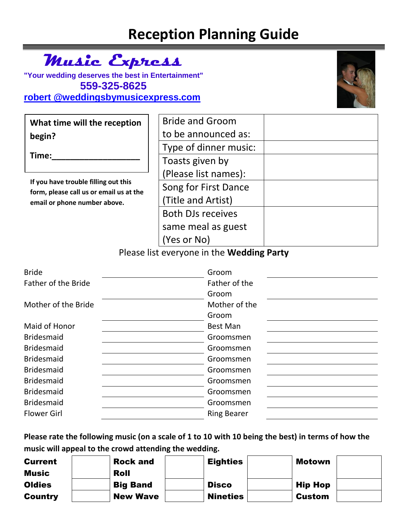# **Reception Planning Guide**

## **Music Express**

**"Your wedding deserves the best in Entertainment" 559-325-8625 [robert @weddingsbymusicexpress.com](mailto:Robert%20@weddingsbymusicexpress.com)**



| What time will the reception                                                                                    | <b>Bride and Groom</b>   |  |
|-----------------------------------------------------------------------------------------------------------------|--------------------------|--|
| begin?                                                                                                          | to be announced as:      |  |
|                                                                                                                 | Type of dinner music:    |  |
| Time:                                                                                                           | Toasts given by          |  |
| If you have trouble filling out this<br>form, please call us or email us at the<br>email or phone number above. | (Please list names):     |  |
|                                                                                                                 | Song for First Dance     |  |
|                                                                                                                 | (Title and Artist)       |  |
|                                                                                                                 | <b>Both DJs receives</b> |  |
|                                                                                                                 | same meal as guest       |  |
|                                                                                                                 | (Yes or No)              |  |

#### Please list everyone in the **Wedding Party**

| <b>Bride</b>               | Groom              |
|----------------------------|--------------------|
| <b>Father of the Bride</b> | Father of the      |
|                            | Groom              |
| Mother of the Bride        | Mother of the      |
|                            | Groom              |
| Maid of Honor              | <b>Best Man</b>    |
| <b>Bridesmaid</b>          | Groomsmen          |
| <b>Bridesmaid</b>          | Groomsmen          |
| <b>Bridesmaid</b>          | Groomsmen          |
| <b>Bridesmaid</b>          | Groomsmen          |
| <b>Bridesmaid</b>          | Groomsmen          |
| <b>Bridesmaid</b>          | Groomsmen          |
| <b>Bridesmaid</b>          | Groomsmen          |
| <b>Flower Girl</b>         | <b>Ring Bearer</b> |

**Please rate the following music (on a scale of 1 to 10 with 10 being the best) in terms of how the music will appeal to the crowd attending the wedding.**

| <b>Current</b> | <b>Rock and</b> | <b>Eighties</b> | Motown         |  |
|----------------|-----------------|-----------------|----------------|--|
| <b>Music</b>   | Roll            |                 |                |  |
| <b>Oldies</b>  | <b>Big Band</b> | <b>Disco</b>    | <b>Hip Hop</b> |  |
| <b>Country</b> | <b>New Wave</b> | <b>Nineties</b> | Custom         |  |